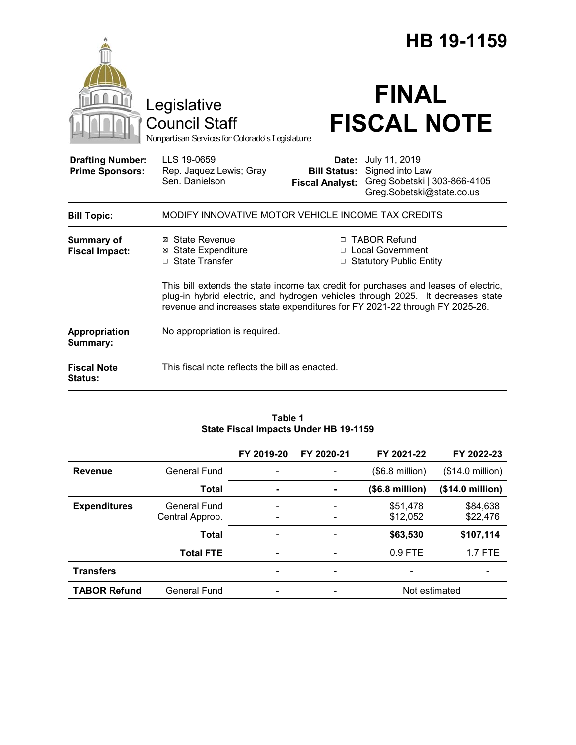|                                                   |                                                                                        |                                                        | HB 19-1159                                                                                                                                                                                                                                            |  |
|---------------------------------------------------|----------------------------------------------------------------------------------------|--------------------------------------------------------|-------------------------------------------------------------------------------------------------------------------------------------------------------------------------------------------------------------------------------------------------------|--|
|                                                   | Legislative<br><b>Council Staff</b><br>Nonpartisan Services for Colorado's Legislature |                                                        | <b>FINAL</b><br><b>FISCAL NOTE</b>                                                                                                                                                                                                                    |  |
| <b>Drafting Number:</b><br><b>Prime Sponsors:</b> | LLS 19-0659<br>Rep. Jaquez Lewis; Gray<br>Sen. Danielson                               | Date:<br><b>Bill Status:</b><br><b>Fiscal Analyst:</b> | July 11, 2019<br>Signed into Law<br>Greg Sobetski   303-866-4105<br>Greg.Sobetski@state.co.us                                                                                                                                                         |  |
| <b>Bill Topic:</b>                                | MODIFY INNOVATIVE MOTOR VEHICLE INCOME TAX CREDITS                                     |                                                        |                                                                                                                                                                                                                                                       |  |
| <b>Summary of</b><br><b>Fiscal Impact:</b>        | ⊠ State Revenue<br><b>⊠ State Expenditure</b><br>□ State Transfer                      |                                                        | □ TABOR Refund<br>□ Local Government<br><b>Statutory Public Entity</b>                                                                                                                                                                                |  |
|                                                   |                                                                                        |                                                        | This bill extends the state income tax credit for purchases and leases of electric,<br>plug-in hybrid electric, and hydrogen vehicles through 2025. It decreases state<br>revenue and increases state expenditures for FY 2021-22 through FY 2025-26. |  |
| Appropriation<br>Summary:                         | No appropriation is required.                                                          |                                                        |                                                                                                                                                                                                                                                       |  |
| <b>Fiscal Note</b><br><b>Status:</b>              | This fiscal note reflects the bill as enacted.                                         |                                                        |                                                                                                                                                                                                                                                       |  |

### **Table 1 State Fiscal Impacts Under HB 19-1159**

|                     |                  | FY 2019-20               | FY 2020-21                   | FY 2021-22               | FY 2022-23       |
|---------------------|------------------|--------------------------|------------------------------|--------------------------|------------------|
| <b>Revenue</b>      | General Fund     |                          |                              | $($6.8 \text{ million})$ | (\$14.0 million) |
|                     | <b>Total</b>     | $\blacksquare$           | $\blacksquare$               | (\$6.8 million)          | (\$14.0 million) |
| <b>Expenditures</b> | General Fund     |                          | $\qquad \qquad \blacksquare$ | \$51,478                 | \$84,638         |
|                     | Central Approp.  | $\overline{\phantom{0}}$ | $\overline{\phantom{a}}$     | \$12,052                 | \$22,476         |
|                     | <b>Total</b>     |                          |                              | \$63,530                 | \$107,114        |
|                     | <b>Total FTE</b> |                          | $\overline{\phantom{a}}$     | $0.9$ FTE                | $1.7$ FTE        |
| <b>Transfers</b>    |                  |                          | -                            |                          |                  |
| <b>TABOR Refund</b> | General Fund     |                          |                              | Not estimated            |                  |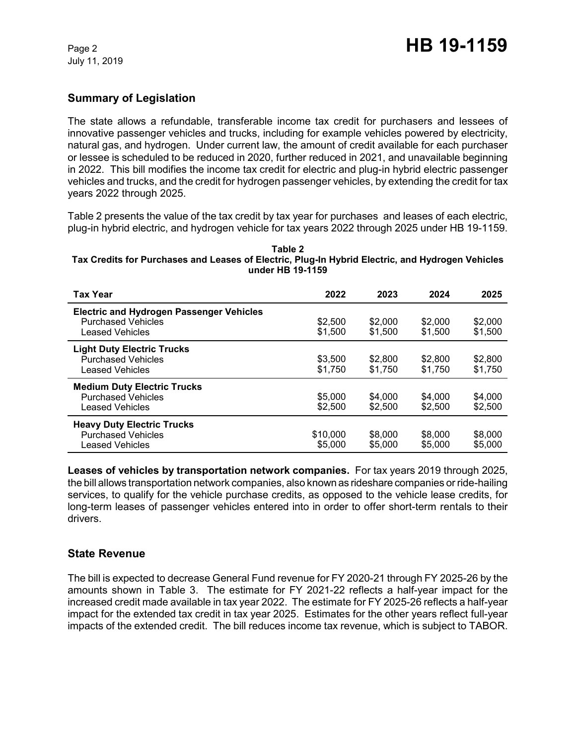# **Summary of Legislation**

The state allows a refundable, transferable income tax credit for purchasers and lessees of innovative passenger vehicles and trucks, including for example vehicles powered by electricity, natural gas, and hydrogen. Under current law, the amount of credit available for each purchaser or lessee is scheduled to be reduced in 2020, further reduced in 2021, and unavailable beginning in 2022. This bill modifies the income tax credit for electric and plug-in hybrid electric passenger vehicles and trucks, and the credit for hydrogen passenger vehicles, by extending the credit for tax years 2022 through 2025.

Table 2 presents the value of the tax credit by tax year for purchases and leases of each electric, plug-in hybrid electric, and hydrogen vehicle for tax years 2022 through 2025 under HB 19-1159.

#### **Table 2 Tax Credits for Purchases and Leases of Electric, Plug-In Hybrid Electric, and Hydrogen Vehicles under HB 19-1159**

| <b>Tax Year</b>                                                                                        | 2022                | 2023               | 2024               | 2025               |
|--------------------------------------------------------------------------------------------------------|---------------------|--------------------|--------------------|--------------------|
| <b>Electric and Hydrogen Passenger Vehicles</b><br><b>Purchased Vehicles</b><br><b>Leased Vehicles</b> | \$2,500<br>\$1.500  | \$2,000<br>\$1,500 | \$2,000<br>\$1,500 | \$2,000<br>\$1,500 |
| <b>Light Duty Electric Trucks</b><br><b>Purchased Vehicles</b><br><b>Leased Vehicles</b>               | \$3.500<br>\$1,750  | \$2,800<br>\$1.750 | \$2,800<br>\$1.750 | \$2,800<br>\$1.750 |
| <b>Medium Duty Electric Trucks</b><br><b>Purchased Vehicles</b><br>Leased Vehicles                     | \$5,000<br>\$2,500  | \$4,000<br>\$2.500 | \$4,000<br>\$2,500 | \$4,000<br>\$2,500 |
| <b>Heavy Duty Electric Trucks</b><br><b>Purchased Vehicles</b><br>Leased Vehicles                      | \$10,000<br>\$5,000 | \$8,000<br>\$5,000 | \$8,000<br>\$5,000 | \$8,000<br>\$5,000 |

**Leases of vehicles by transportation network companies.** For tax years 2019 through 2025, the bill allows transportation network companies, also known as rideshare companies or ride-hailing services, to qualify for the vehicle purchase credits, as opposed to the vehicle lease credits, for long-term leases of passenger vehicles entered into in order to offer short-term rentals to their drivers.

# **State Revenue**

The bill is expected to decrease General Fund revenue for FY 2020-21 through FY 2025-26 by the amounts shown in Table 3. The estimate for FY 2021-22 reflects a half-year impact for the increased credit made available in tax year 2022. The estimate for FY 2025-26 reflects a half-year impact for the extended tax credit in tax year 2025. Estimates for the other years reflect full-year impacts of the extended credit. The bill reduces income tax revenue, which is subject to TABOR.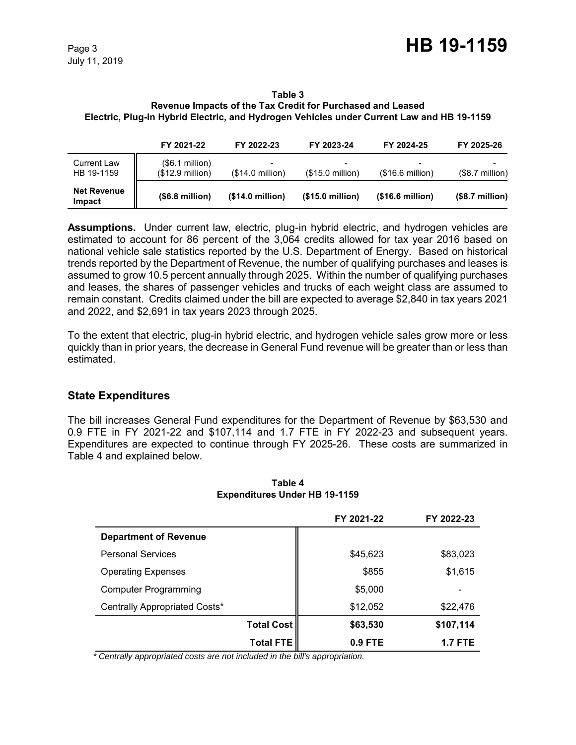July 11, 2019

## **Table 3 Revenue Impacts of the Tax Credit for Purchased and Leased**

## **Electric, Plug-in Hybrid Electric, and Hydrogen Vehicles under Current Law and HB 19-1159**

|                                  | FY 2021-22                           | FY 2022-23                                    | FY 2023-24                | FY 2024-25       | FY 2025-26       |
|----------------------------------|--------------------------------------|-----------------------------------------------|---------------------------|------------------|------------------|
| <b>Current Law</b><br>HB 19-1159 | (\$6.1 million)<br>$($12.9$ million) | $\overline{\phantom{a}}$<br>$(S14.0$ million) | $($15.0 \text{ million})$ | (\$16.6 million) | $($8.7$ million) |
| <b>Net Revenue</b><br>Impact     | (\$6.8 million)                      | (\$14.0 million)                              | (\$15.0 million)          | (\$16.6 million) | $($8.7$ million) |

**Assumptions.** Under current law, electric, plug-in hybrid electric, and hydrogen vehicles are estimated to account for 86 percent of the 3,064 credits allowed for tax year 2016 based on national vehicle sale statistics reported by the U.S. Department of Energy. Based on historical trends reported by the Department of Revenue, the number of qualifying purchases and leases is assumed to grow 10.5 percent annually through 2025. Within the number of qualifying purchases and leases, the shares of passenger vehicles and trucks of each weight class are assumed to remain constant. Credits claimed under the bill are expected to average \$2,840 in tax years 2021 and 2022, and \$2,691 in tax years 2023 through 2025.

To the extent that electric, plug-in hybrid electric, and hydrogen vehicle sales grow more or less quickly than in prior years, the decrease in General Fund revenue will be greater than or less than estimated.

# **State Expenditures**

The bill increases General Fund expenditures for the Department of Revenue by \$63,530 and 0.9 FTE in FY 2021-22 and \$107,114 and 1.7 FTE in FY 2022-23 and subsequent years. Expenditures are expected to continue through FY 2025-26. These costs are summarized in Table 4 and explained below.

|                               |                   | FY 2021-22 | FY 2022-23     |
|-------------------------------|-------------------|------------|----------------|
| <b>Department of Revenue</b>  |                   |            |                |
| <b>Personal Services</b>      |                   | \$45,623   | \$83,023       |
| <b>Operating Expenses</b>     |                   | \$855      | \$1,615        |
| <b>Computer Programming</b>   |                   | \$5,000    |                |
| Centrally Appropriated Costs* |                   | \$12,052   | \$22,476       |
|                               | <b>Total Cost</b> | \$63,530   | \$107,114      |
|                               | <b>Total FTE</b>  | 0.9 FTE    | <b>1.7 FTE</b> |

#### **Table 4 Expenditures Under HB 19-1159**

 *\* Centrally appropriated costs are not included in the bill's appropriation.*